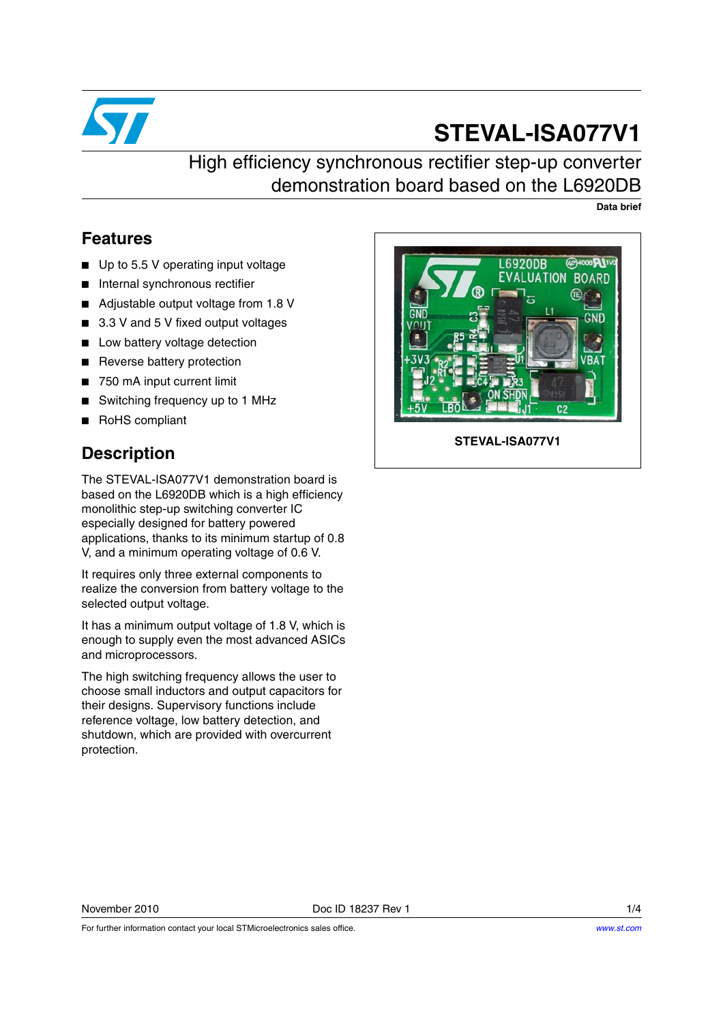

# **STEVAL-ISA077V1**

High efficiency synchronous rectifier step-up converter demonstration board based on the L6920DB

**Data brief**

### **Features**

- Up to 5.5 V operating input voltage
- Internal synchronous rectifier
- Adjustable output voltage from 1.8 V
- 3.3 V and 5 V fixed output voltages
- Low battery voltage detection
- Reverse battery protection
- 750 mA input current limit
- Switching frequency up to 1 MHz
- RoHS compliant

## **Description**

The STEVAL-ISA077V1 demonstration board is based on the L6920DB which is a high efficiency monolithic step-up switching converter IC especially designed for battery powered applications, thanks to its minimum startup of 0.8 V, and a minimum operating voltage of 0.6 V.

It requires only three external components to realize the conversion from battery voltage to the selected output voltage.

It has a minimum output voltage of 1.8 V, which is enough to supply even the most advanced ASICs and microprocessors.

The high switching frequency allows the user to choose small inductors and output capacitors for their designs. Supervisory functions include reference voltage, low battery detection, and shutdown, which are provided with overcurrent protection.



**STEVAL-ISA077V1**

November 2010 **Doce ID 18237 Rev 1** 1/4

For further information contact your local STMicroelectronics sales office.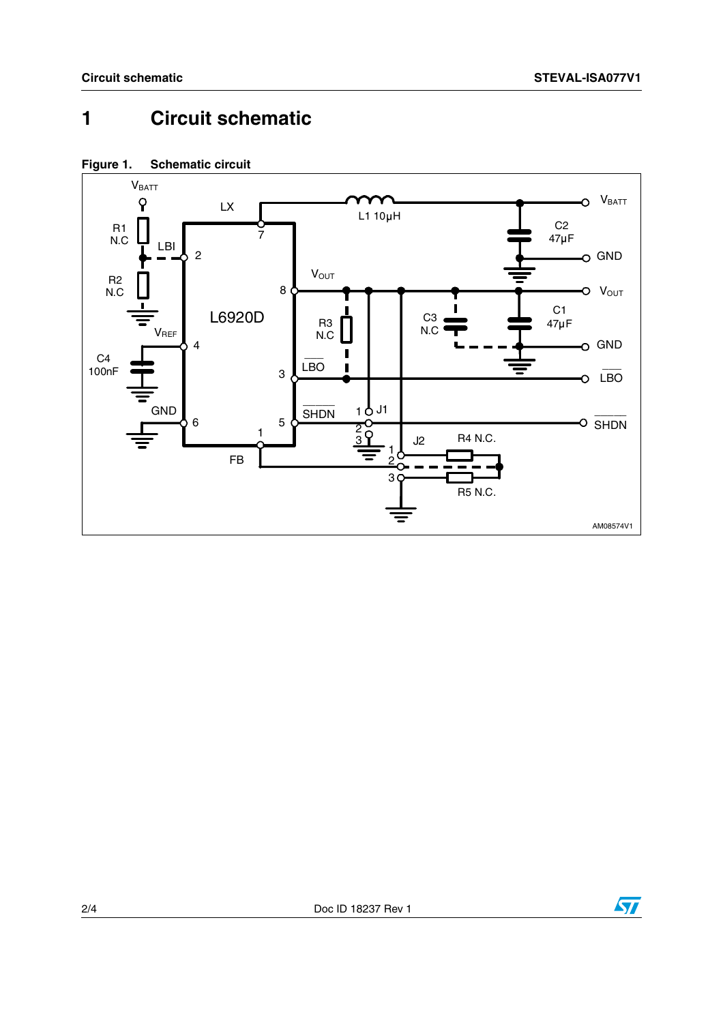#### **Circuit schematic**  $\mathbf{1}$





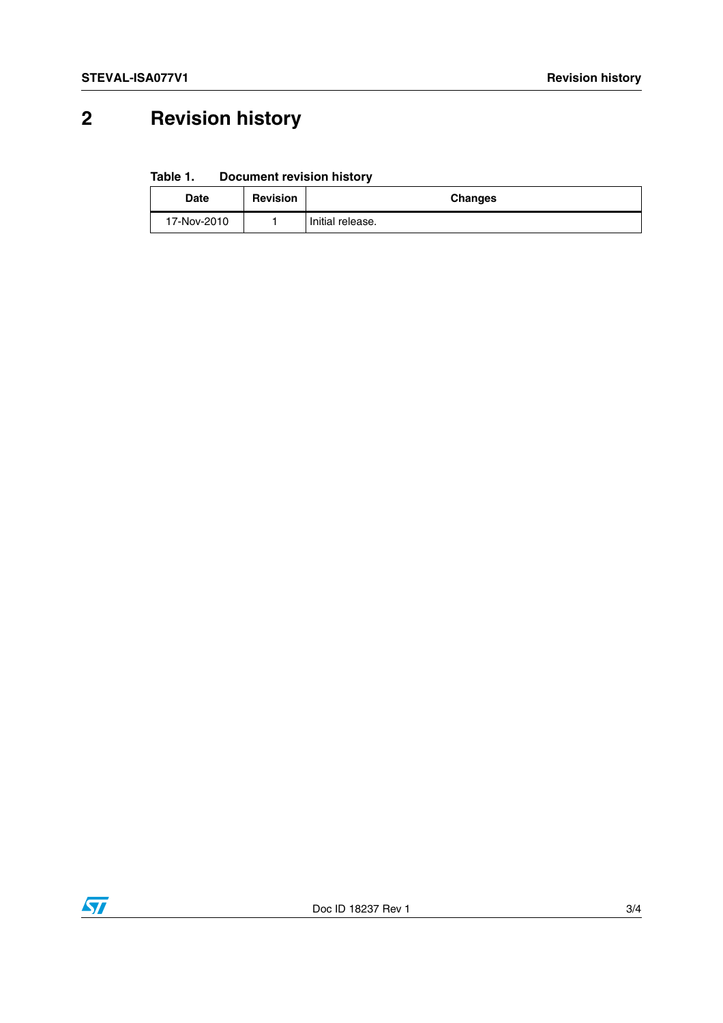## **2 Revision history**

**Table 1. Document revision history**

| <b>Date</b> | <b>Revision</b> | <b>Changes</b>   |
|-------------|-----------------|------------------|
| 17-Nov-2010 |                 | Initial release. |